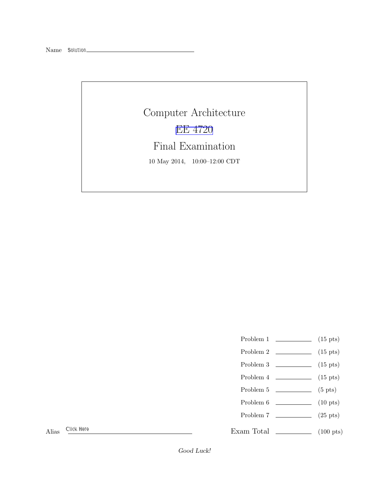Name Solution\_

Computer Architecture [EE 4720](http://www.ece.lsu.edu/ee4720/) Final Examination 10 May 2014, 10:00–12:00 CDT

- Problem 1  $\qquad \qquad$  (15 pts)
- Problem 2 (15 pts)
- Problem 3  $\qquad \qquad$  (15 pts)
- Problem  $4 \t\t(15 \text{ pts})$
- Problem 5 (5 pts)
- Problem 6 (10 pts)
- Problem 7 (25 pts)
- 

Exam Total \_\_\_\_\_\_\_\_\_\_\_\_\_\_ (100 pts)

Alias Click Here

Good Luck!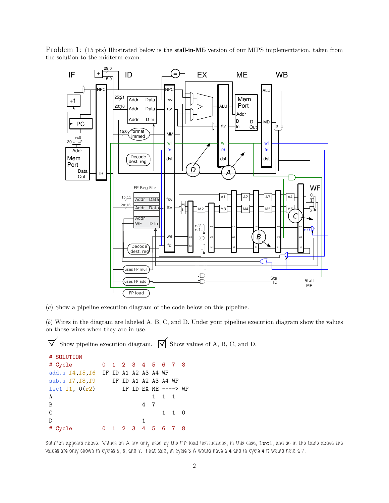

Problem 1: (15 pts) Illustrated below is the **stall-in-ME** version of our MIPS implementation, taken from the solution to the midterm exam.

(a) Show a pipeline execution diagram of the code below on this pipeline.

(b) Wires in the diagram are labeled A, B, C, and D. Under your pipeline execution diagram show the values on those wires when they are in use.

 $\overrightarrow{\mathsf{N}}$  Show pipeline execution diagram.  $\overrightarrow{\mathsf{N}}$  Show values of A, B, C, and D.

```
# SOLUTION
# Cycle 0 1 2 3 4 5 6 7 8
add.s f4,f5,f6 IF ID A1 A2 A3 A4 WF
sub.s f7,f8,f9 IF ID A1 A2 A3 A4 WF
lwc1 f1, 0(r2) IF ID EX ME ----> WF
A 1 1 1 1
B 4 7
C 1 1 0
D 1
# Cycle 0 1 2 3 4 5 6 7 8
```
Solution appears above. Values on A are only used by the FP load instructions, in this case, lwc1, and so in the table above the values are only shown in cycles 5, 6, and 7. That said, in cycle 3 A would have a 4 and in cycle 4 it would hold a 7.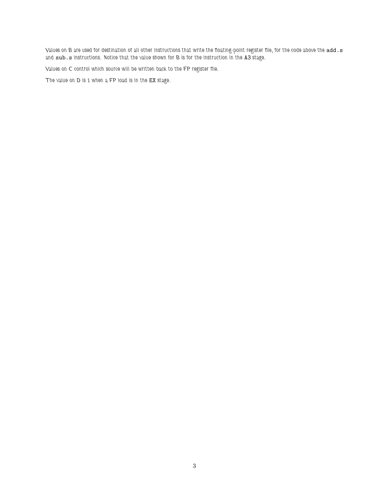Values on B are used for destination of all other instructions that write the floating-point register file, for the code above the add.s and sub.s instructions. Notice that the value shown for B is for the instruction in the A3 stage.

Values on C control which source will be written back to the FP register file.

The value on D is 1 when a FP load is in the EX stage.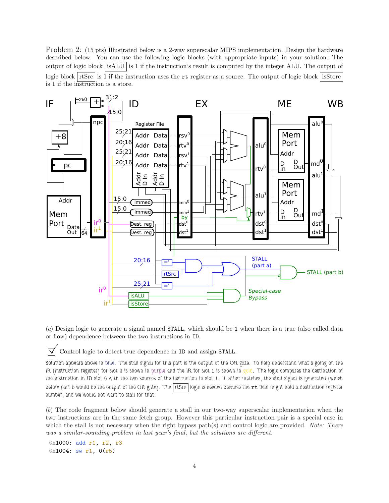Problem 2: (15 pts) Illustrated below is a 2-way superscalar MIPS implementation. Design the hardware described below. You can use the following logic blocks (with appropriate inputs) in your solution: The output of logic block isALU is 1 if the instruction's result is computed by the integer ALU. The output of logic block  $\vert$  rtSrc is 1 if the instruction uses the rt register as a source. The output of logic block isStore is 1 if the instruction is a store.



(a) Design logic to generate a signal named STALL, which should be 1 when there is a true (also called data or flow) dependence between the two instructions in ID.

 $\triangledown$  Control logic to detect true dependence in ID and assign STALL.

Solution appears above in blue. The stall signal for this part is the output of the OR gate. To help understand what's going on the IR (instruction register) for slot 0 is shown in purple and the IR for slot 1 is shown in gold. The logic compares the destination of the instruction in ID slot 0 with the two sources of the instruction in slot 1. If either matches, the stall signal is generated (which before part b would be the output of the OR gate). The rtSrc logic is needed because the  $rt$  field might hold a destination register number, and we would not want to stall for that.

(b) The code fragment below should generate a stall in our two-way superscalar implementation when the two instructions are in the same fetch group. However this particular instruction pair is a special case in which the stall is not necessary when the right bypass path(s) and control logic are provided. Note: There was a similar-sounding problem in last year's final, but the solutions are different.

0x1000: add r1, r2, r3  $0x1004: sw r1, 0(r5)$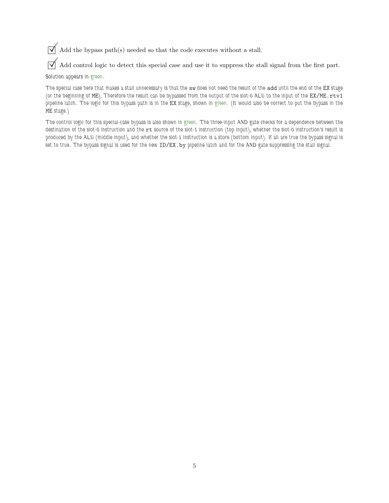$\sqrt{\phantom{a}}$  Add the bypass path(s) needed so that the code executes without a stall.

 $\overline{\vee}$  Add control logic to detect this special case and use it to suppress the stall signal from the first part. Solution appears in green.

The special case here that makes a stall unnecessary is that the sw does not need the result of the add until the end of the EX stage (or the beginning of ME). Therefore the result can be bypassed from the output of the slot-0 ALU to the input of the EX/ME.rtv1 pipeline latch. The logic for this bypass path is in the EX stage, shown in green. (It would also be correct to put the bypass in the ME stage.)

The control logic for this special-case bypass is also shown in green. The three-input AND gate checks for a dependence between the destination of the slot-0 instruction and the rt source of the slot-1 instruction (top input), whether the slot-0 instruction's result is produced by the ALU (middle input), and whether the slot-1 instruction is a store (bottom input). If all are true the bypass signal is set to true. The bypass signal is used for the new ID/EX. by pipeline latch and for the AND gate suppressing the stall signal.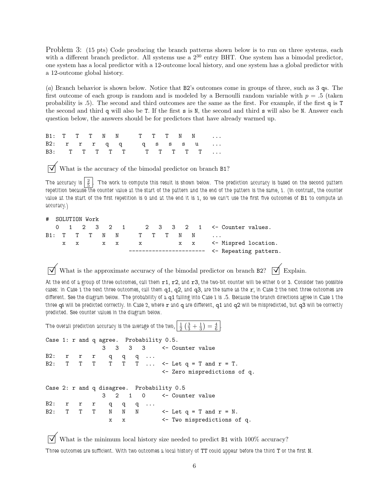Problem 3: (15 pts) Code producing the branch patterns shown below is to run on three systems, each with a different branch predictor. All systems use a  $2^{30}$  entry BHT. One system has a bimodal predictor, one system has a local predictor with a 12-outcome local history, and one system has a global predictor with a 12-outcome global history.

(a) Branch behavior is shown below. Notice that B2's outcomes come in groups of three, such as 3 qs. The first outcome of each group is random and is modeled by a Bernoulli random variable with  $p = 0.5$  (taken probability is .5). The second and third outcomes are the same as the first. For example, if the first q is T the second and third q will also be T. If the first s is N, the second and third s will also be N. Answer each question below, the answers should be for predictors that have already warmed up.

B1: T T T N N T T T N N ... B2: **r r r q q q s s s u** ... B3: T T T T T T T T T T T ...

 $\triangledown$  What is the accuracy of the bimodal predictor on branch B1?

The accuracy is  $\left\lfloor \frac{2}{5} \right\rfloor$ . The work to compute this result is shown below. The prediction accuracy is based on the second pattern repetition because the counter value at the start of the pattern and the end of the pattern is the same, 1. (In contrast, the counter value at the start of the first repetition is 0 and at the end it is 1, so we can't use the first five outcomes of B1 to compute an accuracy.)

SOLUTION Work

|  |  |  |  |                 |  |  |  |                                               | 0 1 2 3 2 1 2 3 3 2 1 $\leq$ Counter values. |
|--|--|--|--|-----------------|--|--|--|-----------------------------------------------|----------------------------------------------|
|  |  |  |  | B1: TTTNN TTTNN |  |  |  |                                               |                                              |
|  |  |  |  |                 |  |  |  |                                               | x x x x x x x x x <- Mispred location.       |
|  |  |  |  |                 |  |  |  | ----------------------- <- Repeating pattern. |                                              |

 $\triangledown$  What is the approximate accuracy of the bimodal predictor on branch B2?  $\triangledown$  Explain.

At the end of a group of three outcomes, call them  $r1$ ,  $r2$ , and  $r3$ , the two-bit counter will be either 0 or 3. Consider two possible cases: in Case 1 the next three outcomes, call them  $q1, q2,$  and  $q3,$  are the same as the  $r$ ; in Case 2 the next three outcomes are different. See the diagram below. The probability of a q1 falling into Case 1 is .5. Because the branch directions agree in Case 1 the three qs will be predicted correctly. In Case 2, where  $r$  and q are different, q1 and q2 will be mispredicted, but q3 will be correctly predicted. See counter values in the diagram below.

.

The overall prediction accuracy is the average of the two, <sup>1</sup>  $\overline{2}$  $\left($ 3  $\frac{3}{3}$  + 1 3  $\big)$ = 4 6

Case 1: r and q agree. Probability 0.5. 3 3 3 3 <- Counter value B2: r r r q q q ... B2:  $T$   $T$   $T$   $T$   $T$   $T$   $\ldots$   $\leq$  Let  $q$  =  $T$  and  $r$  =  $T$ . <- Zero mispredictions of q. Case 2: r and q disagree. Probability 0.5 3 2 1 0 <- Counter value B2: r r r q q q ... B2:  $T$   $T$   $T$   $N$   $N$   $N$   $\leftarrow$  Let  $q$  =  $T$  and  $r$  =  $N$ . x x <- Two mispredictions of q.

 $\triangledown$  What is the minimum local history size needed to predict B1 with 100% accuracy? Three outcomes are sufficient. With two outcomes a local history of TT could appear before the third T or the first N.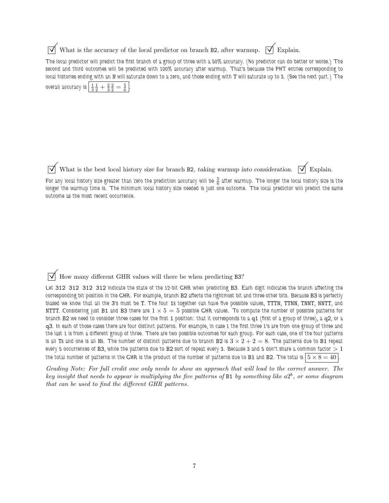$\overrightarrow{\mathcal{A}}$  What is the accuracy of the local predictor on branch B2, after warmup.  $\overrightarrow{\mathcal{A}}$  Explain.

The local predictor will predict the first branch of a group of three with a 50% accuracy. (No predictor can do better or worse.) The second and third outcomes will be predicted with 100% accuracy after warmup. That's because the PHT entries corresponding to local histories ending with an N will saturate down to a zero, and those ending with T will saturate up to 3. (See the next part.) The overall accuracy is 3 1  $rac{1}{2} + \frac{2}{3} \frac{2}{2} = \frac{5}{6}$ .

What is the best local history size for branch B2, taking warmup into consideration.  $\overrightarrow{\bigvee}$  Explain.

For any local history size greater than zero the prediction accuracy will be  $\frac{5}{6}$  after warmup. The longer the local history size is the longer the warmup time is. The minimum local history size needed is just one outcome. The local predictor will predict the same outcome as the most recent occurrence.

 $\overline{\vee}$  How many different GHR values will there be when predicting B3?

Let 312 312 312 312 indicate the state of the 12-bit GHR when predicting B3. Each digit indicates the branch affecting the corresponding bit position in the GHR. For example, branch B2 affects the rightmost bit and three other bits. Because B3 is perfectly biased we know that all the 3's must be T. The four 1s together can have five possible values, TTTN, TTNN, TNNT, NNTT, and NTTT. Considering just B1 and B3 there are  $1 \times 5 = 5$  possible GHR values. To compute the number of possible patterns for branch B2 we need to consider three cases for the first 1 position: that it corresponds to a  $q1$  (first of a group of three), a  $q2$ , or a q3. In each of those cases there are four distinct patterns. For example, in case 1 the first three 1's are from one group of three and the last 1 is from a different group of three. There are two possible outcomes for each group. For each case, one of the four patterns is all Ts and one is all Ns. The number of distinct patterns due to branch B2 is  $3 \times 2 + 2 = 8$ . The patterns due to B1 repeat every 5 occurrences of B3, while the patterns due to B2 sort of repeat every 3. Because 3 and 5 don't share a common factor  $>1$ the total number of patterns in the GHR is the product of the number of patterns due to B1 and B2. The total is  $|5 \times 8 = 40|$ .

Grading Note: For full credit one only needs to show an approach that will lead to the correct answer. The

key insight that needs to appear is multiplying the five patterns of B1 by something like  $a2^b$ , or some diagram that can be used to find the different GHR patterns.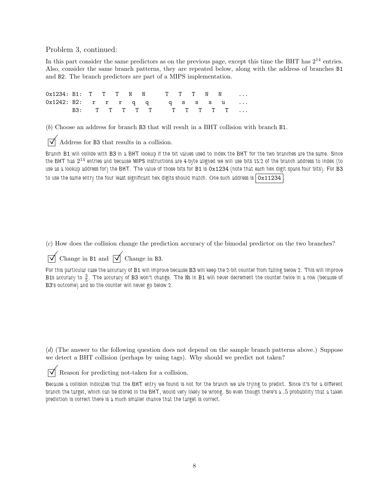Problem 3, continued:

In this part consider the same predictors as on the previous page, except this time the BHT has  $2^{14}$  entries. Also, consider the same branch patterns, they are repeated below, along with the address of branches B1 and B2. The branch predictors are part of a MIPS implementation.

0x1234: B1: T T T N N T T T N N 0x1242: B2: r r r q q q q s s s u ... B3: T T T T T T T T T T ...

(b) Choose an address for branch B3 that will result in a BHT collision with branch B1.

 $\overrightarrow{\bigvee}$  Address for B3 that results in a collision.

Branch B1 will collide with B3 in a BHT lookup if the bit values used to index the BHT for the two branches are the same. Since the BHT has  $2^{14}$  entries and because MIPS instructions are 4-byte aligned we will use bits 15:2 of the branch address to index (to use as a lookup address for) the BHT. The value of those bits for B1 is 0x1234 (note that each hex digit spans four bits). For B3 to use the same entry the four least significant hex digits should match. One such address is  $\sqrt{0x11234}$ 

(c) How does the collision change the prediction accuracy of the bimodal predictor on the two branches?

Change in B1 and  $\overrightarrow{\bigvee}$  Change in B3.

For this particular case the accuracy of B1 will improve because B3 will keep the 2-bit counter from falling below 2. This will improve B1s accuracy to  $\frac{3}{5}$ . The accuracy of B3 won't change. The Ns in B1 will never decrement the counter twice in a row (because of B3's outcome) and so the counter will never go below 2.

(d) (The answer to the following question does not depend on the sample branch patterns above.) Suppose we detect a BHT collision (perhaps by using tags). Why should we predict not taken?

 $\triangledown$  Reason for predicting not-taken for a collision.

Because a collision indicates that the BHT entry we found is not for the branch we are trying to predict. Since it's for a different branch the target, which can be stored in the BHT, would very likely be wrong. So even though there's a .5 probability that a taken prediction is correct there is a much smaller chance that the target is correct.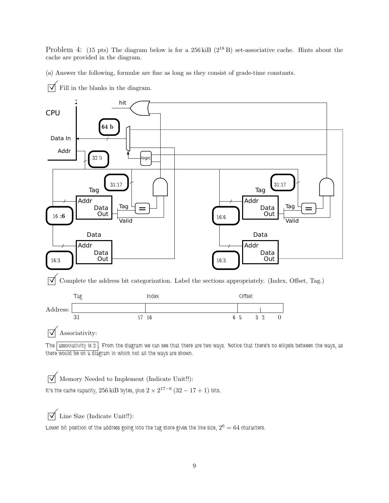Problem 4: (15 pts) The diagram below is for a  $256 \text{ kiB}$  ( $2^{18}$  B) set-associative cache. Hints about the cache are provided in the diagram.

(a) Answer the following, formulæ are fine as long as they consist of grade-time constants.



 $\overrightarrow{\phantom{a}}$  Fill in the blanks in the diagram.

 $\triangledown$  Associativity:

The associativity is 2. From the diagram we can see that there are two ways. Notice that there's no ellipsis between the ways, as there would be on a diagram in which not all the ways are shown.

 $\sqrt{\phantom{a}}$  Memory Needed to Implement (Indicate Unit!!):

It's the cache capacity,  $256\,\mathrm{k}\mathrm{iB}$  bytes, plus  $2\times2^{17-6}\,(32-17+1)$  bits.

 $\overrightarrow{\bigvee}$  Line Size (Indicate Unit!!):

Lower bit position of the address going into the tag store gives the line size,  $2^6 = 64$  characters.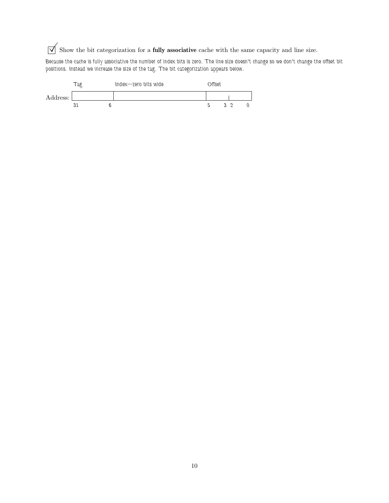$\overrightarrow{\bigvee}$  Show the bit categorization for a **fully associative** cache with the same capacity and line size.

Because the cache is fully associative the number of index bits is zero. The line size doesn't change so we don't change the offset bit positions. Instead we increase the size of the tag. The bit categorization appears below.

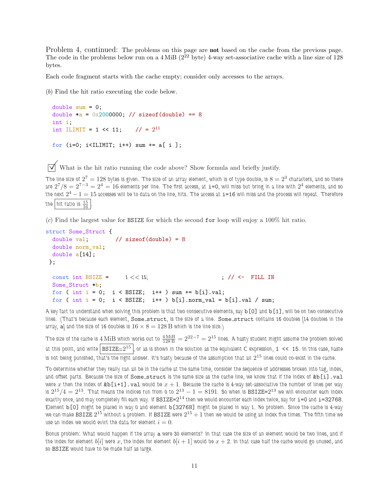Problem 4, continued: The problems on this page are **not** based on the cache from the previous page. The code in the problems below run on a  $4 \text{ MiB}$  ( $2^{22}$  byte) 4-way set-associative cache with a line size of 128 bytes.

Each code fragment starts with the cache empty; consider only accesses to the arrays.

(b) Find the hit ratio executing the code below.

```
double sum = 0;
double a = 0x2000000; // sizeof(double) == 8
int i;
int ILIMIT = 1 << 11; // = 2^{11}for (i=0; i<ILIMIT; i++) sum += a[i];
```
 $\triangledown$  What is the hit ratio running the code above? Show formula and briefly justify.

The line size of  $2^7=128$  bytes is given. The size of an array element, which is of type double, is  $8=2^3$  characters, and so there are  $2^7/8=2^{7-3}=2^4=16$  elements per line. The first access, at  $\mathtt{i=0}$ , will miss but bring in a line with  $2^4$  elements, and so the next  $2^4-1=15$  accesses will be to data on the line, hits. The access at  $\mathtt{i}=\mathtt{16}$  will miss and the process will repeat. Therefore the hit ratio is  $\frac{15}{16}$  .

(c) Find the largest value for BSIZE for which the second for loop will enjoy a 100% hit ratio.

```
struct Some_Struct {
 double val; // sizeof(double) = 8
 double norm_val;
 double a[14];
};
 const int BSIZE = 1 \ll 15; \left| \frac{\gamma}{5} \right| \ll 1 FILL IN
 Some_Struct *b;
 for ( int i = 0; i < BSIZE; i++) sum += b[i].val;for ( int i = 0; i < BSIZE; i++) b[i].norm_val = b[i].val / sum;
```
A key fact to understand when solving this problem is that two consecutive elements, say b[0] and b[1], will be on two consecutive lines. (That's because each element, Some\_struct, is the size of a line. Some\_struct contains 16 doubles [14 doubles in the array, a) and the size of 16 doubles is  $16 \times 8 = 128$  B which is the line size.)

The size of the cache is  $4\,\rm{MiB}$  which works out to  $\frac{4\,\rm{MiB}}{128\,\rm{B}}=2^{22-7}=2^{15}$  lines. A hasty student might assume the problem solved at this point, and write  $\vert$  BSIZE $=$   $2^{15}$   $\vert$ , or as is shown in the solution as the equivalent C expression, 1 << 15. In this case, haste is not being punished, that's the right answer. It's hasty because of the assumption that all  $2^{15}$  lines could co-exist in the cache.

To determine whether they really can all be in the cache at the same time, consider the sequence of addresses broken into tag, index, and offset parts. Because the size of Some\_struct is the same size as the cache line, we know that if the index of &b[i].val were x then the index of  $\&b[i+1]$ . val would be  $x + 1$ . Because the cache is 4-way set-associative the number of lines per way is  $2^{15}/4=2^{13}$ . That means the indices run from 0 to  $2^{13}-1=8191$ . So when is  ${\tt BSIZE}{=}2^{13}$  we will encounter each index exactly once, and may completely fill each way. If  ${\tt BSIZE=}2^{14}$  then we would encounter each index twice, say for  ${\tt i=0}$  and  ${\tt i=32768}.$ Element b[0] might be placed in way 0 and element b[32768] might be placed in way 1. No problem. Since the cache is 4-way we can make BSIZE  $2^{15}$  without a problem. If BSIZE were  $2^{15}+1$  then we would be using an index five times. The fifth time we use an index we would evict the data for element  $i = 0$ .

Bonus problem: What would happen if the array a were 30 elements? In that case the size of an element would be two lines, and if the index for element  $b[i]$  were x, the index for element  $b[i+1]$  would be  $x+2$ . In that case half the cache would go unused, and so BSIZE would have to be made half as large.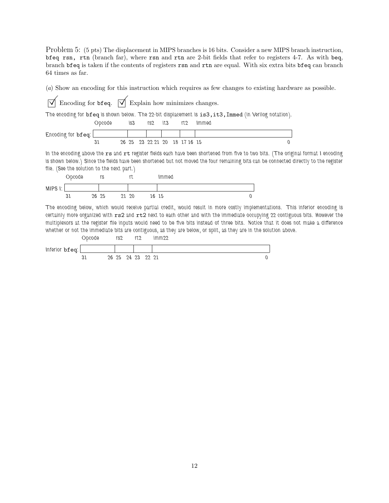Problem 5: (5 pts) The displacement in MIPS branches is 16 bits. Consider a new MIPS branch instruction, bfeq rsn, rtn (branch far), where rsn and rtn are 2-bit fields that refer to registers 4-7. As with beq, branch bfeq is taken if the contents of registers rsn and rtn are equal. With six extra bits bfeq can branch 64 times as far.

(a) Show an encoding for this instruction which requires as few changes to existing hardware as possible.

| $\overrightarrow{\bigvee}$ Encoding for bfeq. $\overrightarrow{\bigvee}$ Explain how minimizes changes. |        |                               |  |  |     |                                                                                                                                                                                                                                                                              |  |  |  |  |  |  |  |
|---------------------------------------------------------------------------------------------------------|--------|-------------------------------|--|--|-----|------------------------------------------------------------------------------------------------------------------------------------------------------------------------------------------------------------------------------------------------------------------------------|--|--|--|--|--|--|--|
| The encoding for bfeq is shown below. The 22-bit displacement is is3, it3, Immed (in Verilog notation). |        |                               |  |  |     |                                                                                                                                                                                                                                                                              |  |  |  |  |  |  |  |
|                                                                                                         | Opcode | $183$ $153$ $153$             |  |  | rt2 | Immed                                                                                                                                                                                                                                                                        |  |  |  |  |  |  |  |
| $Encoding for bfeq$ :                                                                                   |        |                               |  |  |     |                                                                                                                                                                                                                                                                              |  |  |  |  |  |  |  |
|                                                                                                         | 31     | 26 25 23 22 21 20 18 17 16 15 |  |  |     | 0                                                                                                                                                                                                                                                                            |  |  |  |  |  |  |  |
| file. (See the solution to the next part.)                                                              |        |                               |  |  |     | In the encoding above the rs and rt register fields each have been shortened from five to two bits. (The original format I encoding<br>is shown below.) Since the fields have been shortened but not moved the four remaining bits can be connected directly to the register |  |  |  |  |  |  |  |



The encoding below, which would receive partial credit, would result in more costly implementations. This inferior encoding is certainly more organized with rs2 and rt2 next to each other and with the immediate occupying 22 contiguous bits. However the multiplexors at the register file inputs would need to be five bits instead of three bits. Notice that it does not make a difference whether or not the immediate bits are contiguous, as they are below, or split, as they are in the solution above.

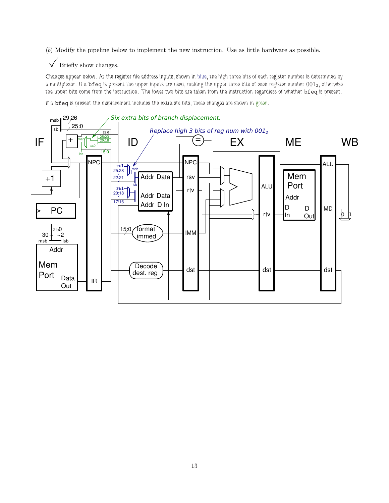(b) Modify the pipeline below to implement the new instruction. Use as little hardware as possible.

 $\triangledown$  Briefly show changes.

Changes appear below. At the register file address inputs, shown in blue, the high three bits of each register number is determined by a multiplexor. If a bfeq is present the upper inputs are used, making the upper three bits of each register number 0012, otherwise the upper bits come from the instruction. The lower two bits are taken from the instruction regardless of whether bfeq is present.

If a bfeq is present the displacement includes the extra six bits, these changes are shown in green.

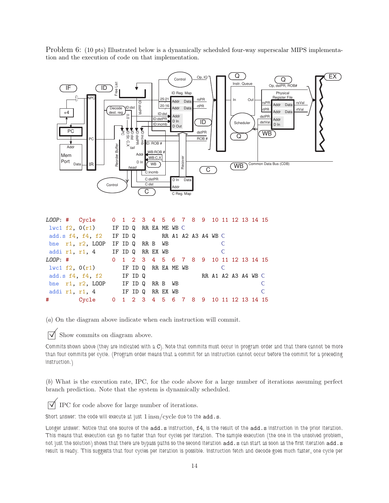Problem 6: (10 pts) Illustrated below is a dynamically scheduled four-way superscalar MIPS implementation and the execution of code on that implementation.



|  | LOOP: # Cycle 0 1 2 3 4 5 6 7 8 9 10 11 12 13 14 15  |  |  |  |  |  |  |  |              |
|--|------------------------------------------------------|--|--|--|--|--|--|--|--------------|
|  | $1\text{wcl } f2$ , $0(r1)$ IF ID Q RR EAME WB C     |  |  |  |  |  |  |  |              |
|  | add.s $f4$ , $f4$ , $f2$ IF ID Q RR A1 A2 A3 A4 WB C |  |  |  |  |  |  |  |              |
|  | bne r1, r2, LOOP IF ID Q RR B WB                     |  |  |  |  |  |  |  |              |
|  | addir1, r1, 4 IF ID Q RR EX WB                       |  |  |  |  |  |  |  |              |
|  | LOOP: # 0 1 2 3 4 5 6 7 8 9 10 11 12 13 14 15        |  |  |  |  |  |  |  |              |
|  | $1\text{wcl }f2$ , $0(r1)$ IF ID Q RR EAME WB        |  |  |  |  |  |  |  |              |
|  | add.s f4, f4, f2 IF ID Q RR A1 A2 A3 A4 WB C         |  |  |  |  |  |  |  |              |
|  | bne r1, r2, LOOP IF ID Q RR B WB                     |  |  |  |  |  |  |  |              |
|  | addir1, r1, 4 IF ID Q RR EX WB                       |  |  |  |  |  |  |  | <sup>C</sup> |
|  | # Cycle 0 1 2 3 4 5 6 7 8 9 10 11 12 13 14 15        |  |  |  |  |  |  |  |              |

(a) On the diagram above indicate when each instruction will commit.

 $\triangledown$  Show commits on diagram above.

Commits shown above (they are indicated with a C). Note that commits must occur in program order and that there cannot be more than four commits per cycle. (Program order means that a commit for an instruction cannot occur before the commit for a preceding instruction.)

(b) What is the execution rate, IPC, for the code above for a large number of iterations assuming perfect branch prediction. Note that the system is dynamically scheduled.

 $\triangledown$  IPC for code above for large number of iterations.

Short answer: the code will execute at just  $1 \text{insn/cycle}$  due to the  $\text{add.s.}$ 

Longer answer: Notice that one source of the add.s instruction, f4, is the result of the add.s instruction in the prior iteration. This means that execution can go no faster than four cycles per iteration. The sample execution (the one in the unsolved problem, not just the solution) shows that there are bypass paths so the second iteration add.s can start as soon as the first iteration add.s result is ready. This suggests that four cycles per iteration is possible. Instruction fetch and decode goes much faster, one cycle per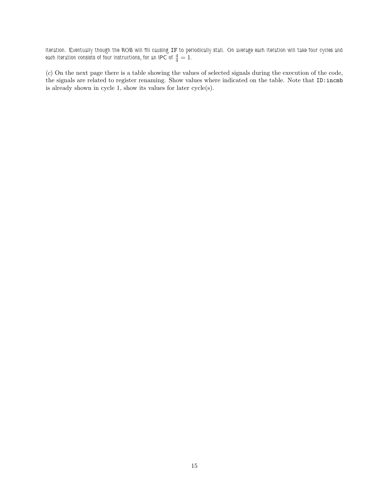iteration. Eventually though the ROB will fill causing IF to periodically stall. On average each iteration will take four cycles and each iteration consists of four instructions, for an IPC of  $\frac{4}{4}=\overset{\cdot}{1}$ .

(c) On the next page there is a table showing the values of selected signals during the execution of the code, the signals are related to register renaming. Show values where indicated on the table. Note that ID:incmb is already shown in cycle 1, show its values for later cycle(s).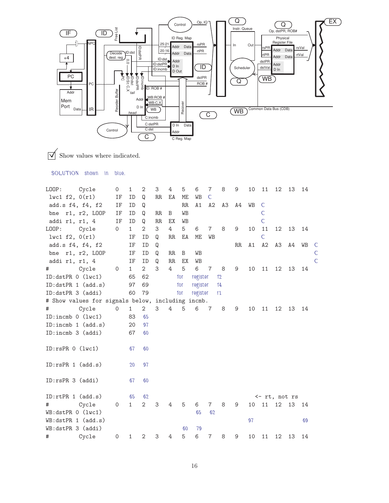

 $\sqrt{\phantom{a}}$  Show values where indicated.

SOLUTION shown in blue.

| LOOP:               | Cycle                                             | $\circ$     | 1            | $\mathbf{2}$   | 3           | 4  | 5        | 6        | $\overline{7}$ | 8              | 9  | 10 | 11             | 12             | 13 | 14 |                |
|---------------------|---------------------------------------------------|-------------|--------------|----------------|-------------|----|----------|----------|----------------|----------------|----|----|----------------|----------------|----|----|----------------|
| $l$ wc1 f2, $0(r1)$ |                                                   | ΙF          | ID           | Q              | RR.         | ΕA | ME       | WB       | $\mathsf{C}$   |                |    |    |                |                |    |    |                |
| add.s f4, f4, f2    |                                                   | ΙF          | ID           | Q              |             |    | $\rm RR$ | A1       | A2             | A3             | A4 | WB | $\mathsf{C}$   |                |    |    |                |
|                     | bne r1, r2, LOOP                                  | ΙF          | ID           | Q              | $_{\rm RR}$ | B  | WB       |          |                |                |    |    | $\mathsf{C}$   |                |    |    |                |
| addi r1, r1, 4      |                                                   | IF          | ID           | Q              | RR          | EX | WB       |          |                |                |    |    | $\mathsf{C}$   |                |    |    |                |
| LOOP:               | Cycle                                             | 0           | $\mathbf{1}$ | 2              | 3           | 4  | 5        | 6        | $\overline{7}$ | 8              | 9  | 10 | 11             | 12             | 13 | 14 |                |
| lvc1 f2, 0(r1)      |                                                   |             | ΙF           | ID             | Q           | RR | ΕA       | МE       | WB             |                |    |    | $\overline{C}$ |                |    |    |                |
| add.s f4, f4, f2    |                                                   |             | IF           | ID             | Q           |    |          |          |                |                | RR | A1 | A2             | A <sub>3</sub> | Α4 | WB | $\mathsf{C}$   |
|                     | bne r1, r2, LOOP                                  |             | ΙF           | ID             | Q           | RR | B        | WB       |                |                |    |    |                |                |    |    | $\mathsf{C}$   |
| addi r1, r1, 4      |                                                   |             | ΙF           | ID             | Q           | RR | ЕX       | WB       |                |                |    |    |                |                |    |    | $\overline{C}$ |
| #                   | Cycle                                             | $\mathbf 0$ | $\mathbf{1}$ | $\overline{2}$ | 3           | 4  | 5        | 6        | $\overline{7}$ | 8              | 9  | 10 | 11             | 12             | 13 | 14 |                |
| ID:dstPR 0 (lwc1)   |                                                   |             | 65           | 62             |             |    | for      | register |                | 12             |    |    |                |                |    |    |                |
| ID:dstPR 1 (add.s)  |                                                   |             | 97           | 69             |             |    | for      | register |                | $\mathsf{f}_4$ |    |    |                |                |    |    |                |
| ID:dstPR 3 (addi)   | 79                                                |             | for          |                | register    |    | r1       |          |                |                |    |    |                |                |    |    |                |
|                     | # Show values for signals below, including incmb. |             |              |                |             |    |          |          |                |                |    |    |                |                |    |    |                |
| #                   | Cycle                                             | 0           | $\mathbf{1}$ | $\overline{2}$ | 3           | 4  | 5        | 6        | $\overline{7}$ | 8              | 9  | 10 | 11             | 12             | 13 | 14 |                |
| ID:incmb 0 (lwc1)   |                                                   |             | 83           | 65             |             |    |          |          |                |                |    |    |                |                |    |    |                |
| ID:incmb 1 (add.s)  |                                                   |             | 20           | 97             |             |    |          |          |                |                |    |    |                |                |    |    |                |
| ID:incmb 3 (addi)   |                                                   |             | 67           | 60             |             |    |          |          |                |                |    |    |                |                |    |    |                |
|                     |                                                   |             |              |                |             |    |          |          |                |                |    |    |                |                |    |    |                |
| ID:rsPR 0 (lwc1)    |                                                   |             | 67           | 60             |             |    |          |          |                |                |    |    |                |                |    |    |                |
|                     |                                                   |             |              |                |             |    |          |          |                |                |    |    |                |                |    |    |                |
| ID:rsPR 1 (add.s)   |                                                   |             | 20           | 97             |             |    |          |          |                |                |    |    |                |                |    |    |                |
|                     |                                                   |             |              |                |             |    |          |          |                |                |    |    |                |                |    |    |                |
| ID:rsPR 3 (addi)    |                                                   |             | 67           | 60             |             |    |          |          |                |                |    |    |                |                |    |    |                |
|                     |                                                   |             |              |                |             |    |          |          |                |                |    |    |                |                |    |    |                |
| ID:rtPR 1 (add.s)   |                                                   |             | 65           | 62             |             |    |          |          |                |                |    |    | <- rt, not rs  |                |    |    |                |
| #                   | Cycle                                             | $\mathbf 0$ | $\mathbf{1}$ | $\mathbf{2}$   | 3           | 4  | 5        | 6        | $\overline{7}$ | 8              | 9  | 10 | 11             | 12             | 13 | 14 |                |
| WB:dstPR 0 (lwc1)   |                                                   |             |              |                |             |    |          | 65       | 62             |                |    |    |                |                |    |    |                |
| WB:dstPR 1 (add.s)  |                                                   |             |              |                |             |    |          |          |                |                |    | 97 |                |                |    | 69 |                |
| WB:dstPR 3 (addi)   |                                                   |             |              |                |             |    | 60       | 79       |                |                |    |    |                |                |    |    |                |
| #                   | Cycle                                             | $\mathbf 0$ | 1            | 2              | 3           | 4  | 5        | 6        | 7              | 8              | 9  | 10 | 11             | 12             | 13 | 14 |                |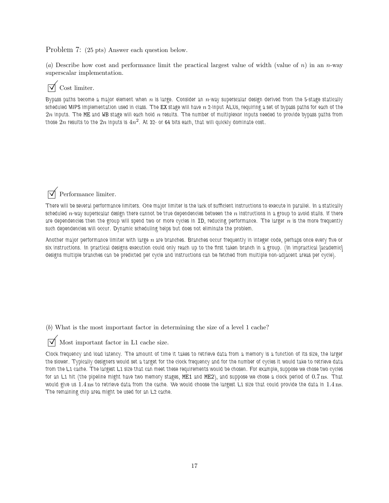Problem 7: (25 pts) Answer each question below.

(a) Describe how cost and performance limit the practical largest value of width (value of n) in an n-way superscalar implementation.

## $\triangledown$  Cost limiter.

Bypass paths become a major element when n is large. Consider an  $n$ -way superscalar design derived from the 5-stage statically scheduled MIPS implementation used in class. The EX stage will have  $n$  2-input ALUs, requiring a set of bypass paths for each of the  $2n$  inputs. The ME and WB stage will each hold  $n$  results. The number of multiplexor inputs needed to provide bypass paths from those  $\mathrm{\dot{2}} n$  results to the  $2n$  inputs is  $4n^2$ . At 32- or 64 bits each, that will quickly dominate cost.

 $\sqrt{\phantom{a}}$  Performance limiter.

There will be several performance limiters. One major limiter is the lack of sufficient instructions to execute in parallel. In a statically scheduled  $n$ -way superscalar design there cannot be true dependencies between the  $n$  instructions in a group to avoid stalls. If there are dependencies then the group will spend two or more cycles in ID, reducing performance. The larger  $n$  is the more frequently such dependencies will occur. Dynamic scheduling helps but does not eliminate the problem.

Another major performance limiter with large  $n$  are branches. Branches occur frequently in integer code, perhaps once every five or six instructions. In practical designs execution could only reach up to the first taken branch in a group. (In impractical [academic] designs multiple branches can be predicted per cycle and instructions can be fetched from multiple non-adjacent areas per cycle).

(b) What is the most important factor in determining the size of a level 1 cache?

 $\overrightarrow{\bigvee}$  Most important factor in L1 cache size.

Clock frequency and load latency. The amount of time it takes to retrieve data from a memory is a function of its size, the larger the slower. Typically designers would set a target for the clock frequency and for the number of cycles it would take to retrieve data from the L1 cache. The largest L1 size that can meet these requirements would be chosen. For example, suppose we chose two cycles for an L1 hit (the pipeline might have two memory stages, ME1 and ME2), and suppose we chose a clock period of 0.7 ns. That would give us 1.4 ns to retrieve data from the cache. We would choose the largest L1 size that could provide the data in 1.4 ns. The remaining chip area might be used for an L2 cache.